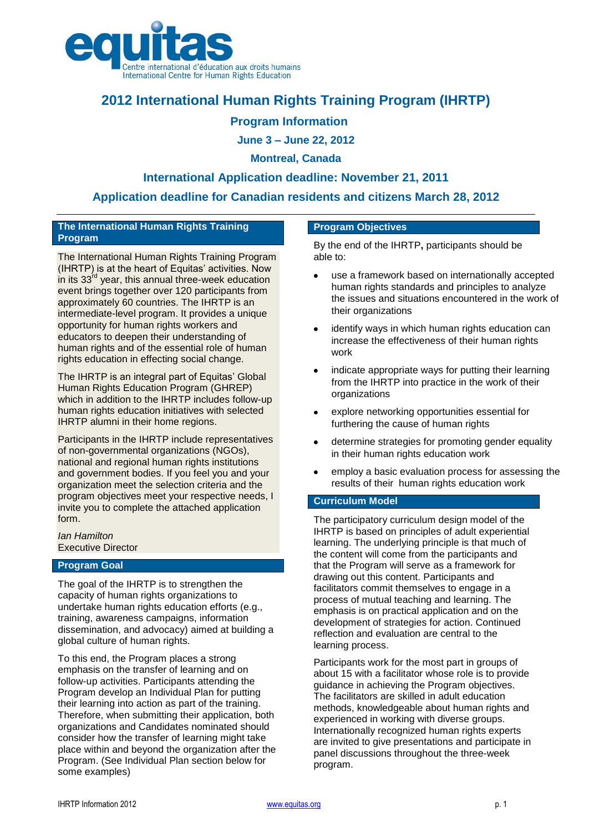

# **2012 International Human Rights Training Program (IHRTP)**

# **Program Information**

**June 3 – June 22, 2012**

## **Montreal, Canada**

## **International Application deadline: November 21, 2011**

# **Application deadline for Canadian residents and citizens March 28, 2012**

#### **The International Human Rights Training Program**

The International Human Rights Training Program (IHRTP) is at the heart of Equitas' activities. Now in its 33<sup>fd</sup> year, this annual three-week education event brings together over 120 participants from approximately 60 countries. The IHRTP is an intermediate-level program. It provides a unique opportunity for human rights workers and educators to deepen their understanding of human rights and of the essential role of human rights education in effecting social change.

The IHRTP is an integral part of Equitas' Global Human Rights Education Program (GHREP) which in addition to the IHRTP includes follow-up human rights education initiatives with selected IHRTP alumni in their home regions.

Participants in the IHRTP include representatives of non-governmental organizations (NGOs), national and regional human rights institutions and government bodies. If you feel you and your organization meet the selection criteria and the program objectives meet your respective needs, I invite you to complete the attached application form.

*Ian Hamilton*  Executive Director

## **Program Goal**

The goal of the IHRTP is to strengthen the capacity of human rights organizations to undertake human rights education efforts (e.g., training, awareness campaigns, information dissemination, and advocacy) aimed at building a global culture of human rights.

To this end, the Program places a strong emphasis on the transfer of learning and on follow-up activities. Participants attending the Program develop an Individual Plan for putting their learning into action as part of the training. Therefore, when submitting their application, both organizations and Candidates nominated should consider how the transfer of learning might take place within and beyond the organization after the Program. (See Individual Plan section below for some examples)

#### **Program Objectives**

By the end of the IHRTP**,** participants should be able to:

- use a framework based on internationally accepted  $\bullet$ human rights standards and principles to analyze the issues and situations encountered in the work of their organizations
- identify ways in which human rights education can increase the effectiveness of their human rights work
- indicate appropriate ways for putting their learning from the IHRTP into practice in the work of their organizations
- explore networking opportunities essential for furthering the cause of human rights
- determine strategies for promoting gender equality in their human rights education work
- employ a basic evaluation process for assessing the results of their human rights education work

#### **Curriculum Model**

The participatory curriculum design model of the IHRTP is based on principles of adult experiential learning. The underlying principle is that much of the content will come from the participants and that the Program will serve as a framework for drawing out this content. Participants and facilitators commit themselves to engage in a process of mutual teaching and learning. The emphasis is on practical application and on the development of strategies for action. Continued reflection and evaluation are central to the learning process.

Participants work for the most part in groups of about 15 with a facilitator whose role is to provide guidance in achieving the Program objectives. The facilitators are skilled in adult education methods, knowledgeable about human rights and experienced in working with diverse groups. Internationally recognized human rights experts are invited to give presentations and participate in panel discussions throughout the three-week program.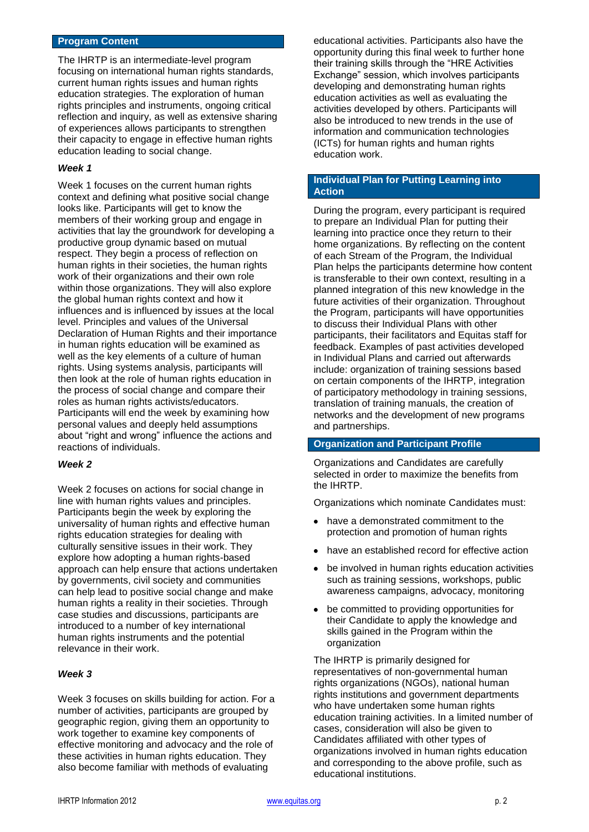#### **Program Content**

The IHRTP is an intermediate-level program focusing on international human rights standards, current human rights issues and human rights education strategies. The exploration of human rights principles and instruments, ongoing critical reflection and inquiry, as well as extensive sharing of experiences allows participants to strengthen their capacity to engage in effective human rights education leading to social change.

#### *Week 1*

Week 1 focuses on the current human rights context and defining what positive social change looks like. Participants will get to know the members of their working group and engage in activities that lay the groundwork for developing a productive group dynamic based on mutual respect. They begin a process of reflection on human rights in their societies, the human rights work of their organizations and their own role within those organizations. They will also explore the global human rights context and how it influences and is influenced by issues at the local level. Principles and values of the Universal Declaration of Human Rights and their importance in human rights education will be examined as well as the key elements of a culture of human rights. Using systems analysis, participants will then look at the role of human rights education in the process of social change and compare their roles as human rights activists/educators. Participants will end the week by examining how personal values and deeply held assumptions about "right and wrong" influence the actions and reactions of individuals.

#### *Week 2*

Week 2 focuses on actions for social change in line with human rights values and principles. Participants begin the week by exploring the universality of human rights and effective human rights education strategies for dealing with culturally sensitive issues in their work. They explore how adopting a human rights-based approach can help ensure that actions undertaken by governments, civil society and communities can help lead to positive social change and make human rights a reality in their societies. Through case studies and discussions, participants are introduced to a number of key international human rights instruments and the potential relevance in their work.

#### *Week 3*

Week 3 focuses on skills building for action. For a number of activities, participants are grouped by geographic region, giving them an opportunity to work together to examine key components of effective monitoring and advocacy and the role of these activities in human rights education. They also become familiar with methods of evaluating

educational activities. Participants also have the opportunity during this final week to further hone their training skills through the "HRE Activities Exchange" session, which involves participants developing and demonstrating human rights education activities as well as evaluating the activities developed by others. Participants will also be introduced to new trends in the use of information and communication technologies (ICTs) for human rights and human rights education work.

#### **Individual Plan for Putting Learning into Action**

During the program, every participant is required to prepare an Individual Plan for putting their learning into practice once they return to their home organizations. By reflecting on the content of each Stream of the Program, the Individual Plan helps the participants determine how content is transferable to their own context, resulting in a planned integration of this new knowledge in the future activities of their organization. Throughout the Program, participants will have opportunities to discuss their Individual Plans with other participants, their facilitators and Equitas staff for feedback. Examples of past activities developed in Individual Plans and carried out afterwards include: organization of training sessions based on certain components of the IHRTP, integration of participatory methodology in training sessions, translation of training manuals, the creation of networks and the development of new programs and partnerships.

#### **Organization and Participant Profile**

Organizations and Candidates are carefully selected in order to maximize the benefits from the IHRTP.

Organizations which nominate Candidates must:

- have a demonstrated commitment to the protection and promotion of human rights
- have an established record for effective action
- be involved in human rights education activities such as training sessions, workshops, public awareness campaigns, advocacy, monitoring
- be committed to providing opportunities for their Candidate to apply the knowledge and skills gained in the Program within the organization

The IHRTP is primarily designed for representatives of non-governmental human rights organizations (NGOs), national human rights institutions and government departments who have undertaken some human rights education training activities. In a limited number of cases, consideration will also be given to Candidates affiliated with other types of organizations involved in human rights education and corresponding to the above profile, such as educational institutions.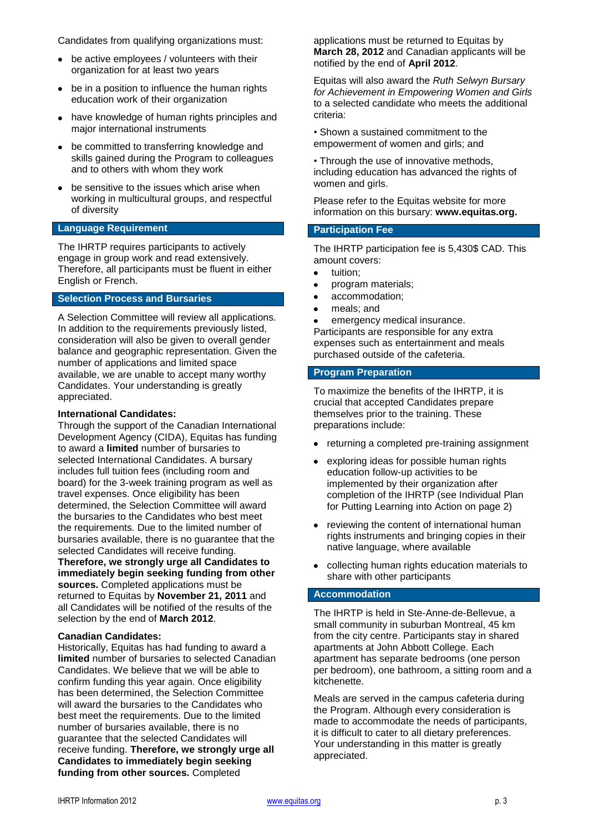Candidates from qualifying organizations must:

- be active employees / volunteers with their organization for at least two years
- be in a position to influence the human rights education work of their organization
- have knowledge of human rights principles and major international instruments
- be committed to transferring knowledge and skills gained during the Program to colleagues and to others with whom they work
- be sensitive to the issues which arise when working in multicultural groups, and respectful of diversity

## **Language Requirement**

The IHRTP requires participants to actively engage in group work and read extensively. Therefore, all participants must be fluent in either English or French.

### **Selection Process and Bursaries**

A Selection Committee will review all applications. In addition to the requirements previously listed, consideration will also be given to overall gender balance and geographic representation. Given the number of applications and limited space available, we are unable to accept many worthy Candidates. Your understanding is greatly appreciated.

#### **International Candidates:**

Through the support of the Canadian International Development Agency (CIDA), Equitas has funding to award a **limited** number of bursaries to selected International Candidates. A bursary includes full tuition fees (including room and board) for the 3-week training program as well as travel expenses. Once eligibility has been determined, the Selection Committee will award the bursaries to the Candidates who best meet the requirements. Due to the limited number of bursaries available, there is no guarantee that the selected Candidates will receive funding.

**Therefore, we strongly urge all Candidates to immediately begin seeking funding from other sources.** Completed applications must be returned to Equitas by **November 21, 2011** and all Candidates will be notified of the results of the selection by the end of **March 2012**.

#### **Canadian Candidates:**

Historically, Equitas has had funding to award a **limited** number of bursaries to selected Canadian Candidates. We believe that we will be able to confirm funding this year again. Once eligibility has been determined, the Selection Committee will award the bursaries to the Candidates who best meet the requirements. Due to the limited number of bursaries available, there is no guarantee that the selected Candidates will receive funding. **Therefore, we strongly urge all Candidates to immediately begin seeking funding from other sources.** Completed

applications must be returned to Equitas by **March 28, 2012** and Canadian applicants will be notified by the end of **April 2012**.

Equitas will also award the *Ruth Selwyn Bursary for Achievement in Empowering Women and Girls* to a selected candidate who meets the additional criteria:

• Shown a sustained commitment to the empowerment of women and girls; and

• Through the use of innovative methods, including education has advanced the rights of women and girls.

Please refer to the Equitas website for more information on this bursary: **www.equitas.org.** 

#### **Participation Fee**

The IHRTP participation fee is 5,430\$ CAD. This amount covers:

- $\bullet$ tuition;
- program materials;  $\bullet$
- $\bullet$ accommodation;
- meals; and  $\bullet$

emergency medical insurance. Participants are responsible for any extra expenses such as entertainment and meals purchased outside of the cafeteria.

#### **Program Preparation**

To maximize the benefits of the IHRTP, it is crucial that accepted Candidates prepare themselves prior to the training. These preparations include:

- returning a completed pre-training assignment
- exploring ideas for possible human rights  $\bullet$ education follow-up activities to be implemented by their organization after completion of the IHRTP (see Individual Plan for Putting Learning into Action on page 2)
- reviewing the content of international human rights instruments and bringing copies in their native language, where available
- collecting human rights education materials to share with other participants

#### **Accommodation**

The IHRTP is held in Ste-Anne-de-Bellevue, a small community in suburban Montreal, 45 km from the city centre. Participants stay in shared apartments at John Abbott College. Each apartment has separate bedrooms (one person per bedroom), one bathroom, a sitting room and a kitchenette.

Meals are served in the campus cafeteria during the Program. Although every consideration is made to accommodate the needs of participants, it is difficult to cater to all dietary preferences. Your understanding in this matter is greatly appreciated.